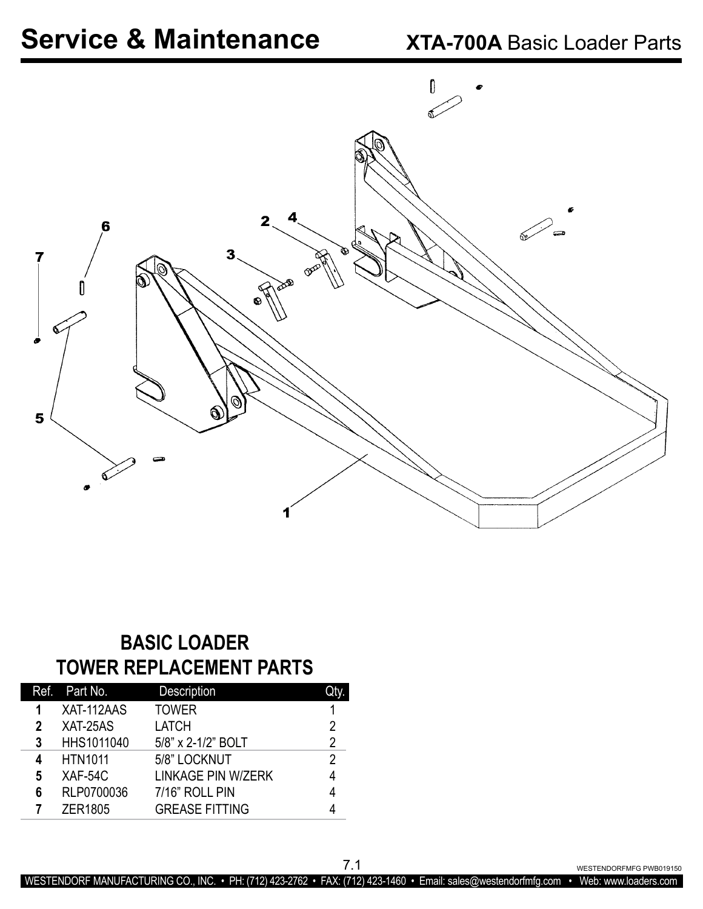

### **BASIC LOADER TOWER REPLACEMENT PARTS**

|   | Ref. Part No.  | <b>Description</b>        |   |
|---|----------------|---------------------------|---|
| 1 | XAT-112AAS     | <b>TOWER</b>              |   |
| 2 | XAT-25AS       | <b>LATCH</b>              | 2 |
| 3 | HHS1011040     | 5/8" x 2-1/2" BOLT        | 2 |
| 4 | <b>HTN1011</b> | 5/8" LOCKNUT              | 2 |
| 5 | XAF-54C        | <b>LINKAGE PIN W/ZERK</b> |   |
| 6 | RLP0700036     | 7/16" ROLL PIN            |   |
|   | <b>ZER1805</b> | <b>GREASE FITTING</b>     |   |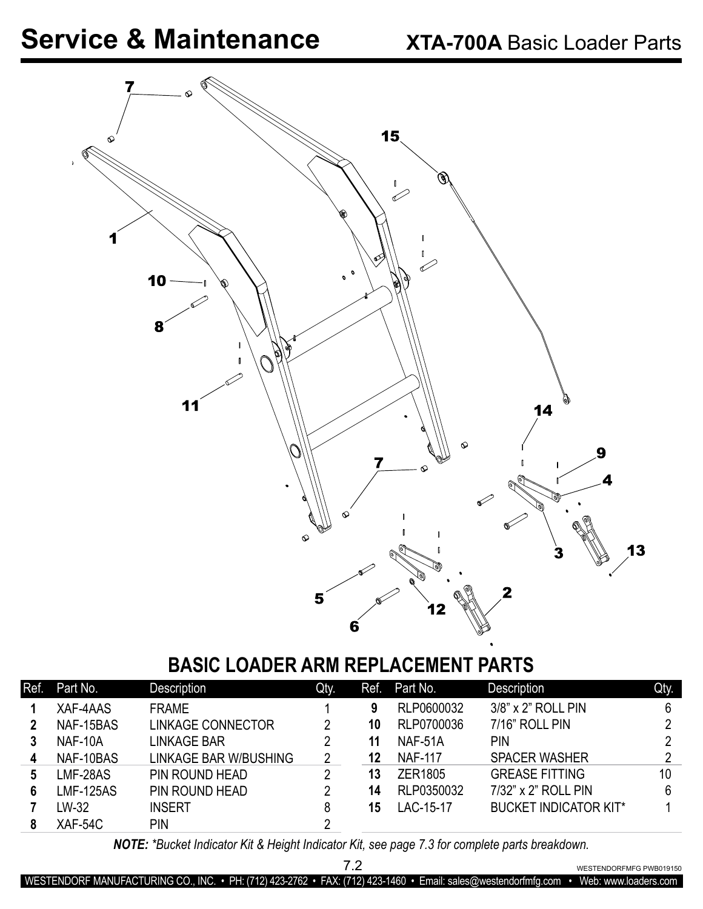

### **BASIC LOADER ARM REPLACEMENT PARTS**

| Ref. | Part No.         | Description           | Qty. | Ref. | Part No.       | Description                  | Qty. |
|------|------------------|-----------------------|------|------|----------------|------------------------------|------|
|      | XAF-4AAS         | <b>FRAME</b>          |      | 9    | RLP0600032     | 3/8" x 2" ROLL PIN           | 6    |
|      | NAF-15BAS        | LINKAGE CONNECTOR     |      | 10   | RLP0700036     | 7/16" ROLL PIN               | റ    |
| 3    | NAF-10A          | LINKAGE BAR           | 2    | 11   | NAF-51A        | PIN                          | റ    |
| 4    | NAF-10BAS        | LINKAGE BAR W/BUSHING | 2    | 12   | <b>NAF-117</b> | <b>SPACER WASHER</b>         | റ    |
| 5    | LMF-28AS         | PIN ROUND HEAD        | 2    | 13   | ZER1805        | <b>GREASE FITTING</b>        | 10   |
| 6    | <b>LMF-125AS</b> | PIN ROUND HEAD        | 2    | 14   | RLP0350032     | 7/32" x 2" ROLL PIN          | 6    |
|      | LW-32            | <b>INSERT</b>         | 8    | 15   | LAC-15-17      | <b>BUCKET INDICATOR KIT*</b> |      |
|      | XAF-54C          | <b>PIN</b>            | າ    |      |                |                              |      |

*NOTE: \*Bucket Indicator Kit & Height Indicator Kit, see page 7.3 for complete parts breakdown.*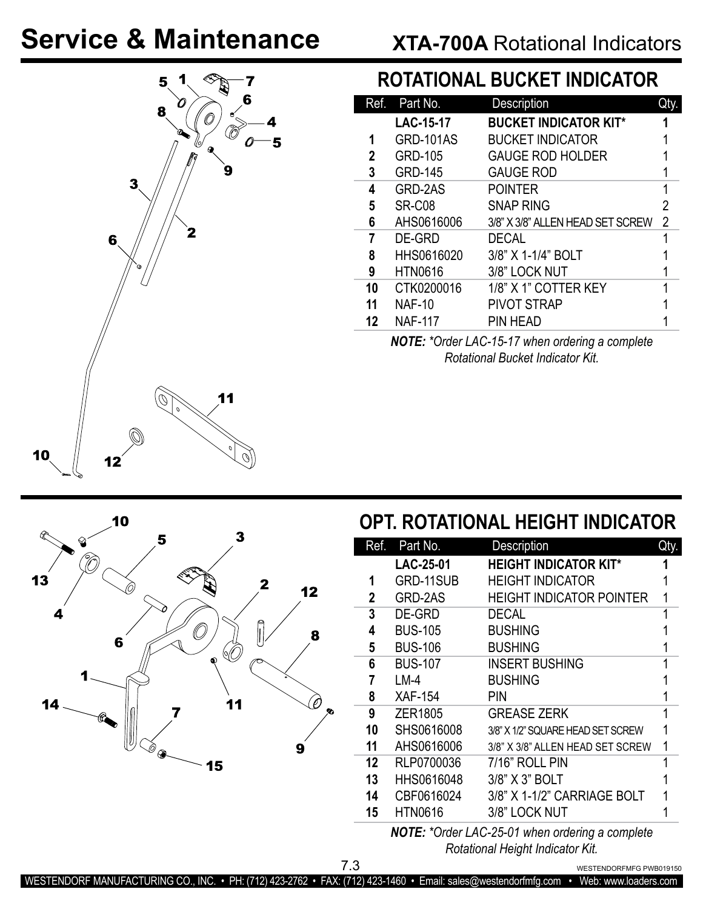## **XTA-700A** Rotational Indicators



 $\mathbb{C}_{\bullet}$ 

 $\overline{\mathscr{E}}_{\bigotimes}$ 

 $\mathbf 2$ 

### **ROTATIONAL BUCKET INDICATOR**

| Ref. | Part No.         | Description                      | Qty.           |
|------|------------------|----------------------------------|----------------|
|      | <b>LAC-15-17</b> | <b>BUCKET INDICATOR KIT*</b>     |                |
| 1    | <b>GRD-101AS</b> | <b>BUCKET INDICATOR</b>          |                |
| 2    | <b>GRD-105</b>   | <b>GAUGE ROD HOLDER</b>          |                |
| 3    | <b>GRD-145</b>   | <b>GAUGE ROD</b>                 |                |
| 4    | GRD-2AS          | <b>POINTER</b>                   | 1              |
| 5    | SR-C08           | <b>SNAP RING</b>                 | 2              |
| 6    | AHS0616006       | 3/8" X 3/8" ALLEN HEAD SET SCREW | $\overline{2}$ |
| 7    | DE-GRD           | <b>DECAL</b>                     |                |
| 8    | HHS0616020       | 3/8" X 1-1/4" BOLT               |                |
| 9    | <b>HTN0616</b>   | 3/8" LOCK NUT                    |                |
| 10   | CTK0200016       | 1/8" X 1" COTTER KEY             |                |
| 11   | <b>NAF-10</b>    | <b>PIVOT STRAP</b>               |                |
| 12   | <b>NAF-117</b>   | PIN HEAD                         |                |

*NOTE: \*Order LAC-15-17 when ordering a complete Rotational Bucket Indicator Kit.*

## **OPT. ROTATIONAL HEIGHT INDICATOR**

| Ref. | Part No.       | Description                       | Qty. |
|------|----------------|-----------------------------------|------|
|      | LAC-25-01      | <b>HEIGHT INDICATOR KIT*</b>      |      |
| 1    | GRD-11SUB      | <b>HEIGHT INDICATOR</b>           |      |
| 2    | GRD-2AS        | <b>HEIGHT INDICATOR POINTER</b>   |      |
| 3    | DE-GRD         | <b>DECAL</b>                      |      |
| 4    | <b>BUS-105</b> | <b>BUSHING</b>                    |      |
| 5    | <b>BUS-106</b> | <b>BUSHING</b>                    |      |
| 6    | <b>BUS-107</b> | <b>INSERT BUSHING</b>             |      |
| 7    | $LM-4$         | <b>BUSHING</b>                    |      |
| 8    | <b>XAF-154</b> | PIN                               |      |
| 9    | ZER1805        | <b>GREASE ZERK</b>                |      |
| 10   | SHS0616008     | 3/8" X 1/2" SQUARE HEAD SET SCREW |      |
| 11   | AHS0616006     | 3/8" X 3/8" ALLEN HEAD SET SCREW  |      |
| 12   | RLP0700036     | 7/16" ROLL PIN                    |      |
| 13   | HHS0616048     | 3/8" X 3" BOLT                    |      |
| 14   | CBF0616024     | 3/8" X 1-1/2" CARRIAGE BOLT       |      |
| 15   | <b>HTN0616</b> | 3/8" LOCK NUT                     |      |
|      | .              |                                   |      |

*NOTE: \*Order LAC-25-01 when ordering a complete Rotational Height Indicator Kit.*

WESTENDORFMFG PWB019150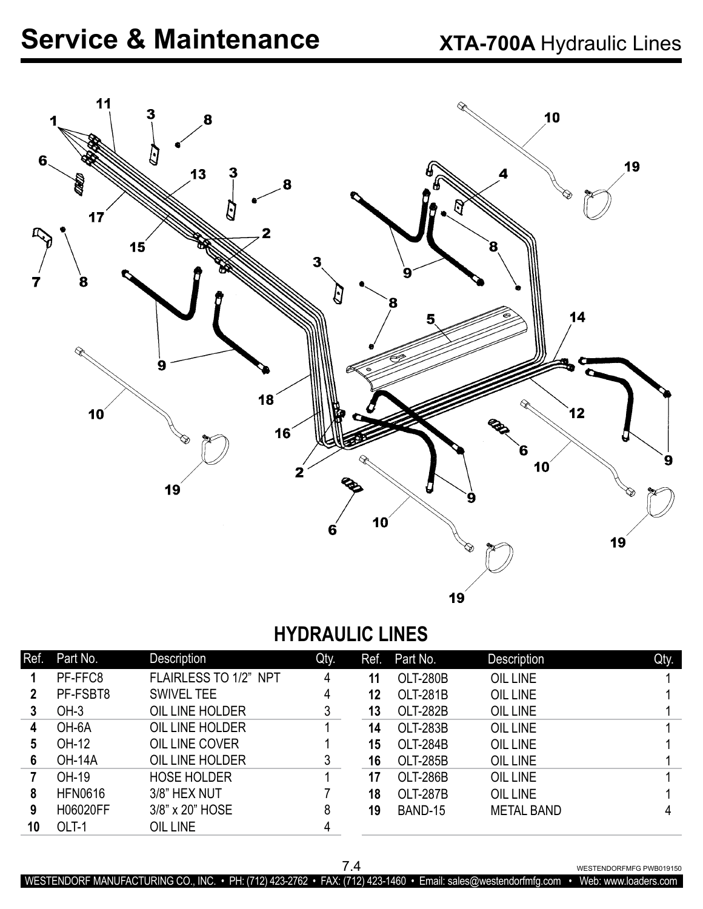

### **HYDRAULIC LINES**

| Ref. | Part No.       | <b>Description</b>    | Qty. | Ref. | Part No.        | Description       | Qty. |
|------|----------------|-----------------------|------|------|-----------------|-------------------|------|
|      | PF-FFC8        | FLAIRLESS TO 1/2" NPT | 4    | 11   | <b>OLT-280B</b> | <b>OIL LINE</b>   |      |
| 2    | PF-FSBT8       | <b>SWIVEL TEE</b>     | 4    | 12   | <b>OLT-281B</b> | OIL LINE          |      |
|      | $OH-3$         | OIL LINE HOLDER       | 3    | 13   | <b>OLT-282B</b> | OIL LINE          |      |
| 4    | OH-6A          | OIL LINE HOLDER       |      | 14   | <b>OLT-283B</b> | <b>OIL LINE</b>   |      |
| 5    | OH-12          | OIL LINE COVER        |      | 15   | <b>OLT-284B</b> | <b>OIL LINE</b>   |      |
| 6    | <b>OH-14A</b>  | OIL LINE HOLDER       | 3    | 16   | <b>OLT-285B</b> | OIL LINE          |      |
|      | OH-19          | <b>HOSE HOLDER</b>    |      | 17   | <b>OLT-286B</b> | OIL LINE          |      |
| 8    | <b>HFN0616</b> | 3/8" HEX NUT          |      | 18   | <b>OLT-287B</b> | <b>OIL LINE</b>   |      |
| 9    | H06020FF       | 3/8" x 20" HOSE       | 8    | 19   | BAND-15         | <b>METAL BAND</b> |      |
| 10   | OLT-1          | OIL LINE              | 4    |      |                 |                   |      |

7.4 WESTENDORFMFG PWB019150

WESTENDORF MANUFACTURING CO., INC. • PH: (712) 423-2762 • FAX: (712) 423-1460 • Email: sales@westendorfmfg.com • Web: www.loaders.com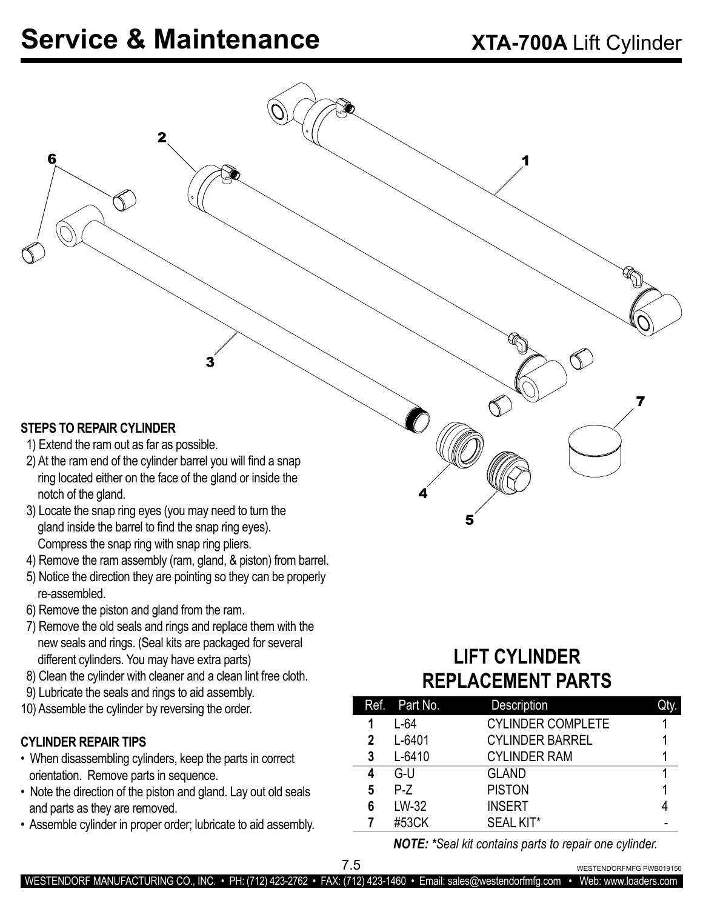2

#### **STEPS TO REPAIR CYLINDER**

6

- 1) Extend the ram out as far as possible.
- 2) At the ram end of the cylinder barrel you will find a snap ring located either on the face of the gland or inside the notch of the gland.
- 3) Locate the snap ring eyes (you may need to turn the gland inside the barrel to find the snap ring eyes). Compress the snap ring with snap ring pliers.
- 4) Remove the ram assembly (ram, gland, & piston) from barrel.
- 5) Notice the direction they are pointing so they can be properly re-assembled.
- 6) Remove the piston and gland from the ram.
- 7) Remove the old seals and rings and replace them with the new seals and rings. (Seal kits are packaged for several different cylinders. You may have extra parts)
- 8) Clean the cylinder with cleaner and a clean lint free cloth.
- 9) Lubricate the seals and rings to aid assembly.
- 10) Assemble the cylinder by reversing the order.

#### **CYLINDER REPAIR TIPS**

- When disassembling cylinders, keep the parts in correct orientation. Remove parts in sequence.
- Note the direction of the piston and gland. Lay out old seals and parts as they are removed.
- Assemble cylinder in proper order; lubricate to aid assembly.

### **LIFT CYLINDER REPLACEMENT PARTS**

|   | Ref. Part No. | <b>Description</b>       |  |
|---|---------------|--------------------------|--|
|   | $L-64$        | <b>CYLINDER COMPLETE</b> |  |
| 2 | L-6401        | <b>CYLINDER BARREL</b>   |  |
| 3 | $L - 6410$    | <b>CYLINDER RAM</b>      |  |
| 4 | G-U           | <b>GLAND</b>             |  |
| 5 | $P-Z$         | <b>PISTON</b>            |  |
| 6 | LW-32         | <b>INSERT</b>            |  |
|   | #53CK         | <b>SEAL KIT*</b>         |  |

*NOTE: \*Seal kit contains parts to repair one cylinder.*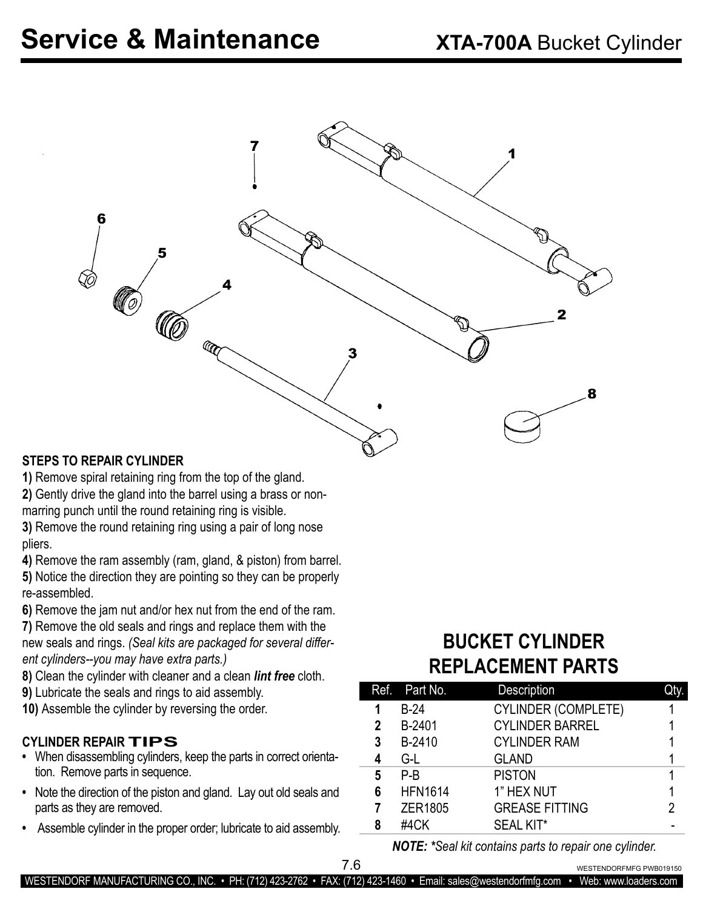

#### **STEPS TO REPAIR CYLINDER**

**1)** Remove spiral retaining ring from the top of the gland.

**2)** Gently drive the gland into the barrel using a brass or nonmarring punch until the round retaining ring is visible.

**3)** Remove the round retaining ring using a pair of long nose pliers.

**4)** Remove the ram assembly (ram, gland, & piston) from barrel.

**5)** Notice the direction they are pointing so they can be properly re-assembled.

**6)** Remove the jam nut and/or hex nut from the end of the ram.

**7)** Remove the old seals and rings and replace them with the new seals and rings. *(Seal kits are packaged for several different cylinders--you may have extra parts.)*

**8)** Clean the cylinder with cleaner and a clean *lint free* cloth.

**9)** Lubricate the seals and rings to aid assembly.

**10)** Assemble the cylinder by reversing the order.

#### **CYLINDER REPAIR TIPS**

- When disassembling cylinders, keep the parts in correct orientation. Remove parts in sequence.
- **•** Note the direction of the piston and gland. Lay out old seals and parts as they are removed.
- **•** Assemble cylinder in the proper order; lubricate to aid assembly.

## **BUCKET CYLINDER REPLACEMENT PARTS**

|   | Ref. Part No.  | Description                |   |
|---|----------------|----------------------------|---|
|   | $B-24$         | <b>CYLINDER (COMPLETE)</b> |   |
| 2 | B-2401         | <b>CYLINDER BARREL</b>     |   |
| 3 | B-2410         | <b>CYLINDER RAM</b>        |   |
|   | G-L            | <b>GLAND</b>               |   |
| 5 | P-B            | <b>PISTON</b>              |   |
| 6 | <b>HFN1614</b> | 1" HEX NUT                 |   |
|   | ZER1805        | <b>GREASE FITTING</b>      | 2 |
| 8 | #4CK           | <b>SEAL KIT*</b>           |   |

*NOTE: \*Seal kit contains parts to repair one cylinder.*